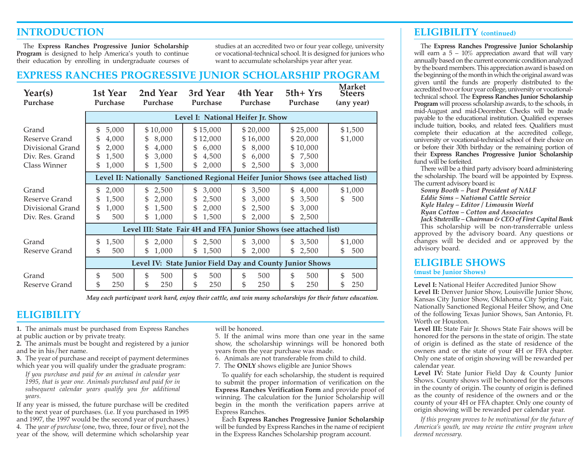## **INTRODUCTION**

The **Express Ranches Progressive Junior Scholarship Program** is designed to help America's youth to continue their education by enrolling in undergraduate courses of studies at an accredited two or four year college, university or vocational-technical school. It is designed for juniors who want to accumulate scholarships year after year.

#### **EXPRESS RANCHES PROGRESSIVE JUNIOR SCHOLARSHIP PROGRAM**

| Year(s)<br>Purchase                                                           | 1st Year<br>Purchase                                                    | 2nd Year<br>Purchase                                                             | 3rd Year<br>Purchase                                              | 4th Year<br>Purchase                                              | $5th+Yrs$<br>Purchase                                          | <b>Market</b><br><b>Steers</b><br>(any year) |
|-------------------------------------------------------------------------------|-------------------------------------------------------------------------|----------------------------------------------------------------------------------|-------------------------------------------------------------------|-------------------------------------------------------------------|----------------------------------------------------------------|----------------------------------------------|
|                                                                               |                                                                         |                                                                                  |                                                                   | Level I: National Heifer Jr. Show                                 |                                                                |                                              |
| Grand<br>Reserve Grand<br>Divisional Grand<br>Div. Res. Grand<br>Class Winner | 5,000<br>\$<br>\$<br>4,000<br>\$<br>2,000<br>\$<br>1,500<br>\$<br>1,000 | \$10,000<br>8,000<br>\$<br>\$<br>4,000<br>\$<br>3,000<br>\$<br>1,500             | \$15,000<br>\$12,000<br>6,000<br>\$<br>\$<br>4,500<br>2,000<br>\$ | \$20,000<br>\$16,000<br>8,000<br>\$<br>\$<br>6,000<br>\$<br>2,500 | \$25,000<br>\$20,000<br>\$10,000<br>7,500<br>\$<br>\$<br>3,000 | \$1,500<br>\$1,000                           |
|                                                                               |                                                                         | Level II: Nationally Sanctioned Regional Heifer Junior Shows (see attached list) |                                                                   |                                                                   |                                                                |                                              |
| Grand<br>Reserve Grand<br>Divisional Grand<br>Div. Res. Grand                 | 2,000<br>\$<br>\$<br>1,500<br>\$<br>1,000<br>\$<br>500                  | 2,500<br>$\mathfrak{S}$<br>\$<br>2,000<br>\$<br>1,500<br>\$<br>1,000             | 3,000<br>\$<br>2,500<br>\$<br>2,000<br>\$<br>1,500<br>\$          | 3,500<br>\$<br>\$<br>3,000<br>\$<br>2,500<br>\$<br>2,000          | 4,000<br>\$<br>\$<br>3,500<br>\$<br>3,000<br>\$<br>2,500       | \$1,000<br>\$<br>500                         |
|                                                                               |                                                                         | Level III: State Fair 4H and FFA Junior Shows (see attached list)                |                                                                   |                                                                   |                                                                |                                              |
| Grand<br>Reserve Grand                                                        | \$<br>1,500<br>\$.<br>500                                               | \$<br>2,000<br>\$<br>1,000                                                       | \$<br>2,500<br>\$<br>1,500                                        | 3,000<br>\$<br>\$<br>2,000                                        | 3,500<br>\$<br>\$<br>2,500                                     | \$1,000<br>\$<br>500                         |
|                                                                               |                                                                         | Level IV: State Junior Field Day and County Junior Shows                         |                                                                   |                                                                   |                                                                |                                              |
| Grand<br>Reserve Grand                                                        | \$<br>500<br>\$<br>250                                                  | \$<br>500<br>\$<br>250                                                           | \$<br>500<br>\$<br>250                                            | \$<br>500<br>\$<br>250                                            | \$<br>500<br>\$<br>250                                         | \$<br>500<br>\$<br>250                       |

*May each participant work hard, enjoy their cattle, and win many scholarships for their future education.*

### **ELIGIBILITY**

**1.** The animals must be purchased from Express Ranches at public auction or by private treaty.

**2.** The animals must be bought and registered by a junior and be in his/her name.

**3.** The year of purchase and receipt of payment determines which year you will qualify under the graduate program:

*If you purchase and paid for an animal in calendar year 1995, that is year one. Animals purchased and paid for in subsequent calendar years qualify you for additional years.*

If any year is missed, the future purchase will be credited to the next year of purchases. (i.e. If you purchased in 1995 and 1997, the 1997 would be the second year of purchases.) 4. The *year of purchase* (one, two, three, four or five), not the year of the show, will determine which scholarship year will be honored.

5. If the animal wins more than one year in the same show, the scholarship winnings will be honored both years from the year purchase was made.

6. Animals are not transferable from child to child.

7. The **ONLY** shows eligible are Junior Shows

To qualify for each scholarship, the student is required to submit the proper information of verification on the **Express Ranches Verification Form** and provide proof of winning. The calculation for the Junior Scholarship will begin in the month the verification papers arrive at Express Ranches.

Each **Express Ranches Progressive Junior Scholarship** will be funded by Express Ranches in the name of recipient in the Express Ranches Scholarship program account.

#### **ELIGIBILITY (continued)**

The **Express Ranches Progressive Junior Scholarship** will earn a  $5 - 10\%$  appreciation award that will vary annually based on the current economic condition analyzed by the board members. This appreciation award is based on the beginning of the month in which the original award was given until the funds are properly distributed to the accredited two or four year college, university or vocationaltechnical school. The **Express Ranches Junior Scholarship Program** will process scholarship awards, to the schools, in mid-August and mid-December. Checks will be made payable to the educational institution. Qualified expenses include tuition, books, and related fees. Qualifiers must complete their education at the accredited college, university or vocational-technical school of their choice on or before their 30th birthday or the remaining portion of their **Express Ranches Progressive Junior Scholarship** fund will be forfeited.

There will be a third party advisory board administering the scholarship. The board will be appointed by Express. The current advisory board is:

*Sonny Booth – Past President of NALF Eddie Sims – National Cattle Service Kyle Haley – Editor / Limousin World Ryan Cotton – Cotton and Associates Jack Stuteville – Chairman & CEO of First Capital Bank*

This scholarship will be non-transferrable unless approved by the advisory board. Any questions or changes will be decided and or approved by the advisory board.

# **ELIGIBLE SHOWS**

**(must be Junior Shows)**

**Level I:** National Heifer Accredited Junior Show **Level II:** Denver Junior Show, Louisville Junior Show, Kansas City Junior Show, Oklahoma City Spring Fair, Nationally Sanctioned Regional Heifer Show, and One of the following Texas Junior Shows, San Antonio, Ft. Worth or Houston.

**Level III:** State Fair Jr. Shows State Fair shows will be honored for the persons in the state of origin. The state of origin is defined as the state of residence of the owners and or the state of your 4H or FFA chapter. Only one state of origin showing will be rewarded per calendar year.

**Level IV:** State Junior Field Day & County Junior Shows. County shows will be honored for the persons in the county of origin. The county of origin is defined as the county of residence of the owners and or the county of your 4H or FFA chapter. Only one county of origin showing will be rewarded per calendar year.

*If this program proves to be motivational for the future of America's youth, we may review the entire program when deemed necessary.*